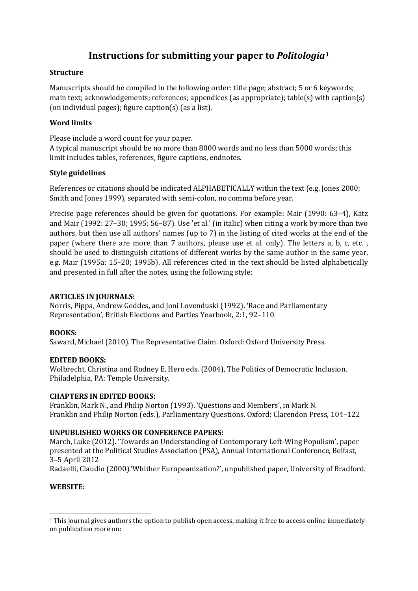# **Instructions for submitting your paper to** *Politologia***[1](#page-0-0)**

#### **Structure**

Manuscripts should be compiled in the following order: title page; abstract; 5 or 6 keywords; main text; acknowledgements; references; appendices (as appropriate); table(s) with caption(s) (on individual pages); figure caption(s) (as a list).

# **Word limits**

Please include a word count for your paper.

A typical manuscript should be no more than 8000 words and no less than 5000 words; this limit includes tables, references, figure captions, endnotes.

# **Style guidelines**

References or citations should be indicated ALPHABETICALLY within the text (e.g. Jones 2000; Smith and Jones 1999), separated with semi-colon, no comma before year.

Precise page references should be given for quotations. For example: Mair (1990: 63–4), Katz and Mair (1992: 27–30; 1995: 56–87). Use 'et al.' (in italic) when citing a work by more than two authors, but then use all authors' names (up to 7) in the listing of cited works at the end of the paper (where there are more than 7 authors, please use et al. only). The letters a, b, c, etc. , should be used to distinguish citations of different works by the same author in the same year, e.g. Mair (1995a: 15–20; 1995b). All references cited in the text should be listed alphabetically and presented in full after the notes, using the following style:

#### **ARTICLES IN JOURNALS:**

Norris, Pippa, Andrew Geddes, and Joni Lovenduski (1992). 'Race and Parliamentary Representation', British Elections and Parties Yearbook, 2:1, 92–110.

# **BOOKS:**

Saward, Michael (2010). The Representative Claim. Oxford: Oxford University Press.

#### **EDITED BOOKS:**

Wolbrecht, Christina and Rodney E. Hero eds. (2004), The Politics of Democratic Inclusion. Philadelphia, PA: Temple University.

#### **CHAPTERS IN EDITED BOOKS:**

Franklin, Mark N., and Philip Norton (1993). 'Questions and Members', in Mark N. Franklin and Philip Norton (eds.), Parliamentary Questions. Oxford: Clarendon Press, 104–122

#### **UNPUBLISHED WORKS OR CONFERENCE PAPERS:**

March, Luke (2012). 'Towards an Understanding of Contemporary Left-Wing Populism', paper presented at the Political Studies Association (PSA), Annual International Conference, Belfast, 3–5 April 2012

Radaelli, Claudio (2000).'Whither Europeanization?', unpublished paper, University of Bradford.

# **WEBSITE:**

<span id="page-0-0"></span> <sup>1</sup> This journal gives authors the option to publish open access, making it free to access online immediately on publication more on: